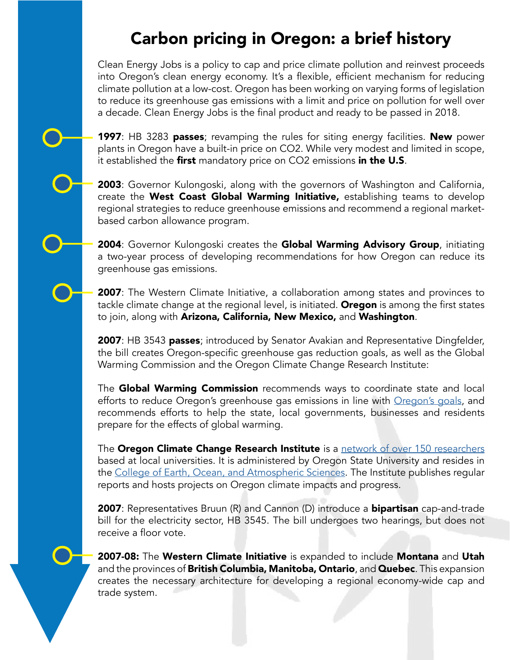## Carbon pricing in Oregon: a brief history

Clean Energy Jobs is a policy to cap and price climate pollution and reinvest proceeds into Oregon's clean energy economy. It's a flexible, efficient mechanism for reducing climate pollution at a low-cost. Oregon has been working on varying forms of legislation to reduce its greenhouse gas emissions with a limit and price on pollution for well over a decade. Clean Energy Jobs is the final product and ready to be passed in 2018.

**1997**: HB 3283 passes; revamping the rules for siting energy facilities. New power plants in Oregon have a built-in price on CO2. While very modest and limited in scope, it established the first mandatory price on CO2 emissions in the U.S.

**2003**: Governor Kulongoski, along with the governors of Washington and California, create the West Coast Global Warming Initiative, establishing teams to develop regional strategies to reduce greenhouse emissions and recommend a regional marketbased carbon allowance program.

2004: Governor Kulongoski creates the Global Warming Advisory Group, initiating a two-year process of developing recommendations for how Oregon can reduce its greenhouse gas emissions.

**2007**: The Western Climate Initiative, a collaboration among states and provinces to tackle climate change at the regional level, is initiated. **Oregon** is among the first states to join, along with Arizona, California, New Mexico, and Washington.

2007: HB 3543 passes; introduced by Senator Avakian and Representative Dingfelder, the bill creates Oregon-specific greenhouse gas reduction goals, as well as the Global Warming Commission and the Oregon Climate Change Research Institute:

The Global Warming Commission recommends ways to coordinate state and local efforts to reduce Oregon's greenhouse gas emissions in line with [Oregon's goals](http://www.keeporegoncool.org/content/goals-getting-there), and recommends efforts to help the state, local governments, businesses and residents prepare for the effects of global warming.

The Oregon Climate Change Research Institute is a [network of over 150 researchers](https://archive.is/o/5fFhY/occri.net/?page_id=7) based at local universities. It is administered by Oregon State University and resides in the [College of Earth, Ocean, and Atmospheric Sciences](http://ceoas.oregonstate.edu/). The Institute publishes regular reports and hosts projects on Oregon climate impacts and progress.

2007: Representatives Bruun (R) and Cannon (D) introduce a **bipartisan** cap-and-trade bill for the electricity sector, HB 3545. The bill undergoes two hearings, but does not receive a floor vote.

2007-08: The Western Climate Initiative is expanded to include Montana and Utah and the provinces of **British Columbia, Manitoba, Ontario**, and **Quebec**. This expansion creates the necessary architecture for developing a regional economy-wide cap and trade system.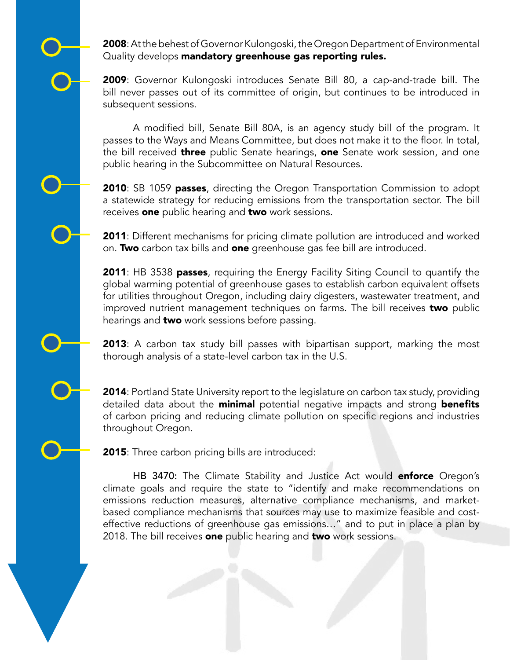2008: At the behest of Governor Kulongoski, the Oregon Department of Environmental Quality develops mandatory greenhouse gas reporting rules.

2009: Governor Kulongoski introduces Senate Bill 80, a cap-and-trade bill. The bill never passes out of its committee of origin, but continues to be introduced in subsequent sessions.

A modifed bill, Senate Bill 80A, is an agency study bill of the program. It passes to the Ways and Means Committee, but does not make it to the floor. In total, the bill received **three** public Senate hearings, **one** Senate work session, and one public hearing in the Subcommittee on Natural Resources.

**2010:** SB 1059 passes, directing the Oregon Transportation Commission to adopt a statewide strategy for reducing emissions from the transportation sector. The bill receives one public hearing and two work sessions.

**2011**: Different mechanisms for pricing climate pollution are introduced and worked on. Two carbon tax bills and one greenhouse gas fee bill are introduced.

**2011:** HB 3538 **passes**, requiring the Energy Facility Siting Council to quantify the global warming potential of greenhouse gases to establish carbon equivalent offsets for utilities throughout Oregon, including dairy digesters, wastewater treatment, and improved nutrient management techniques on farms. The bill receives two public hearings and **two** work sessions before passing.

**2013**: A carbon tax study bill passes with bipartisan support, marking the most thorough analysis of a state-level carbon tax in the U.S.

**2014**: Portland State University report to the legislature on carbon tax study, providing detailed data about the **minimal** potential negative impacts and strong **benefits** of carbon pricing and reducing climate pollution on specific regions and industries throughout Oregon.

**2015**: Three carbon pricing bills are introduced:

HB 3470: The Climate Stability and Justice Act would enforce Oregon's climate goals and require the state to "identify and make recommendations on emissions reduction measures, alternative compliance mechanisms, and marketbased compliance mechanisms that sources may use to maximize feasible and costeffective reductions of greenhouse gas emissions…" and to put in place a plan by 2018. The bill receives one public hearing and two work sessions.